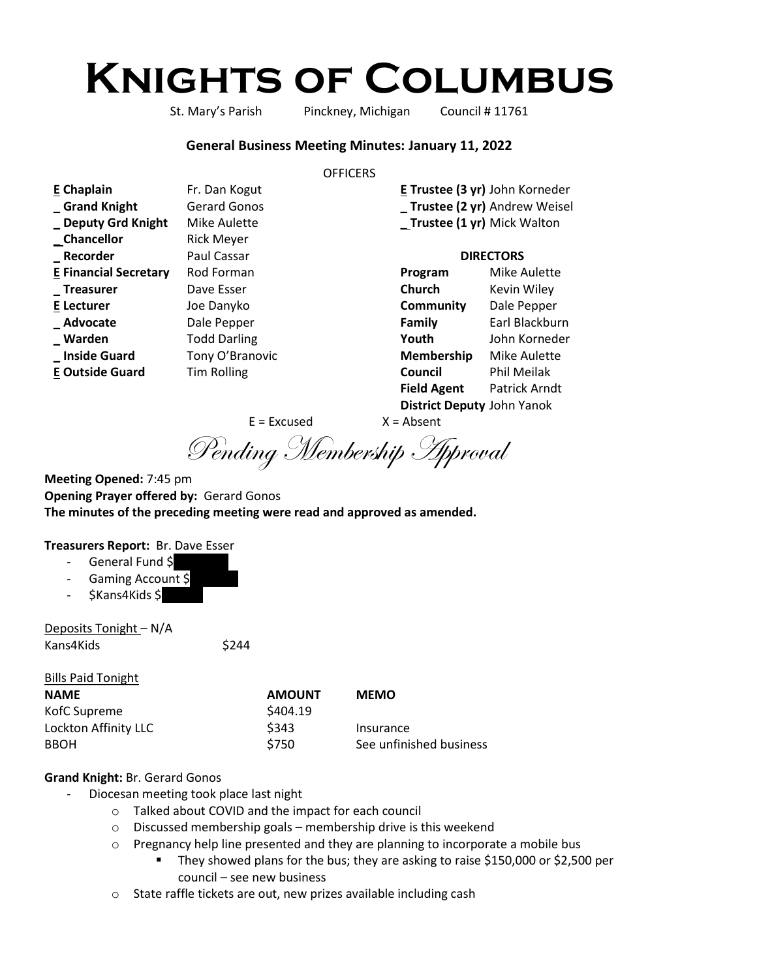# **Knights of Columbus**

St. Mary's Parish Pinckney, Michigan Council # 11761

#### **General Business Meeting Minutes: January 11, 2022**

#### **OFFICERS**

| E Chaplain                   | Fr. Dan Kogut       |                    | E Trustee (3 yr) John Korneder |
|------------------------------|---------------------|--------------------|--------------------------------|
| Grand Knight                 | <b>Gerard Gonos</b> |                    | _ Trustee (2 yr) Andrew Weisel |
| _ Deputy Grd Knight          | Mike Aulette        |                    | _Trustee (1 yr) Mick Walton    |
| _ Chancellor                 | <b>Rick Meyer</b>   |                    |                                |
| _Recorder                    | Paul Cassar         | <b>DIRECTORS</b>   |                                |
| <b>E Financial Secretary</b> | Rod Forman          | Program            | <b>Mike Aulette</b>            |
| _Treasurer                   | Dave Esser          | Church             | Kevin Wiley                    |
| <b>E</b> Lecturer            | Joe Danyko          | Community          | Dale Pepper                    |
| _Advocate                    | Dale Pepper         | Family             | Earl Blackburn                 |
| _ Warden                     | <b>Todd Darling</b> | Youth              | John Korneder                  |
| _Inside Guard                | Tony O'Branovic     | Membership         | Mike Aulette                   |
| <b>E Outside Guard</b>       | <b>Tim Rolling</b>  | Council            | Phil Meilak                    |
|                              |                     | <b>Field Agent</b> | Patrick Arndt                  |

**District Deputy** John Yanok

 $E = Excused$   $X = Absent$ 

Pending Membership Approval

**Meeting Opened:** 7:45 pm **Opening Prayer offered by:** Gerard Gonos **The minutes of the preceding meeting were read and approved as amended.**

#### **Treasurers Report:** Br. Dave Esser

- General Fund \$
- Gaming Account \$
- \$Kans4Kids \$

Deposits Tonight – N/A Kans4Kids \$244

Bills Paid Tonight

| <b>PHIST AND I CHILD</b> |               |                         |
|--------------------------|---------------|-------------------------|
| <b>NAME</b>              | <b>AMOUNT</b> | <b>MEMO</b>             |
| KofC Supreme             | \$404.19      |                         |
| Lockton Affinity LLC     | \$343         | Insurance               |
| BBOH                     | \$750         | See unfinished business |
|                          |               |                         |

### **Grand Knight:** Br. Gerard Gonos

- Diocesan meeting took place last night
	- o Talked about COVID and the impact for each council
	- o Discussed membership goals membership drive is this weekend
	- $\circ$  Pregnancy help line presented and they are planning to incorporate a mobile bus
		- They showed plans for the bus; they are asking to raise \$150,000 or \$2,500 per council – see new business
	- o State raffle tickets are out, new prizes available including cash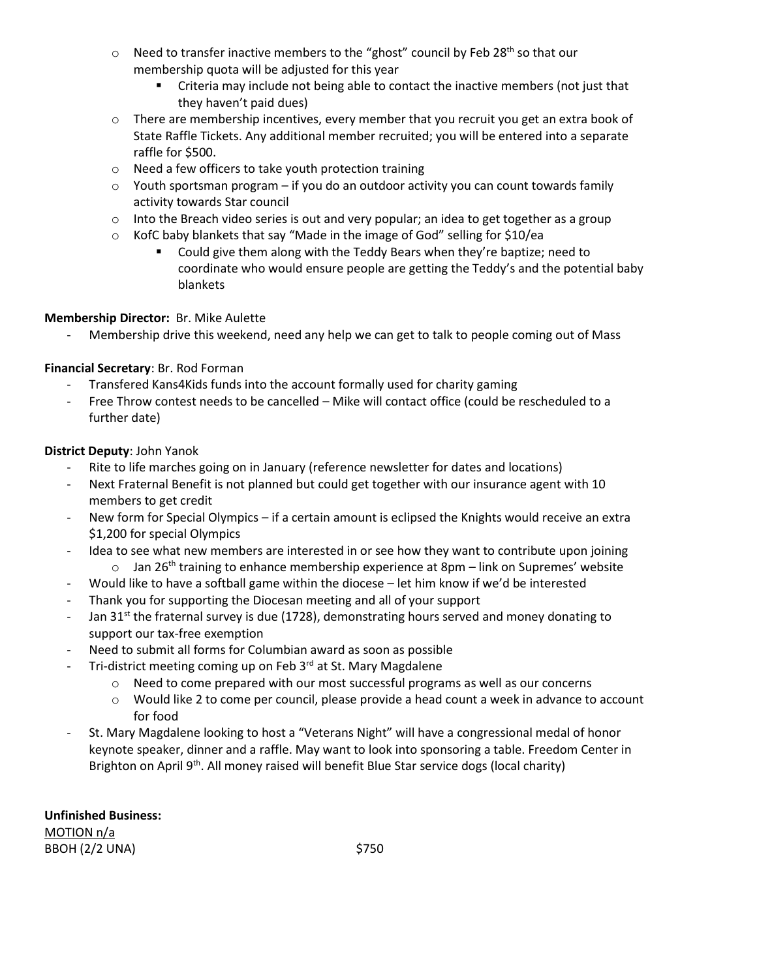- $\circ$  Need to transfer inactive members to the "ghost" council by Feb 28<sup>th</sup> so that our membership quota will be adjusted for this year
	- **EXECT** Criteria may include not being able to contact the inactive members (not just that they haven't paid dues)
- $\circ$  There are membership incentives, every member that you recruit you get an extra book of State Raffle Tickets. Any additional member recruited; you will be entered into a separate raffle for \$500.
- o Need a few officers to take youth protection training
- $\circ$  Youth sportsman program if you do an outdoor activity you can count towards family activity towards Star council
- $\circ$  Into the Breach video series is out and very popular; an idea to get together as a group
- o KofC baby blankets that say "Made in the image of God" selling for \$10/ea
	- Could give them along with the Teddy Bears when they're baptize; need to coordinate who would ensure people are getting the Teddy's and the potential baby blankets

# **Membership Director:** Br. Mike Aulette

Membership drive this weekend, need any help we can get to talk to people coming out of Mass

# **Financial Secretary**: Br. Rod Forman

- Transfered Kans4Kids funds into the account formally used for charity gaming
- Free Throw contest needs to be cancelled Mike will contact office (could be rescheduled to a further date)

# **District Deputy**: John Yanok

- Rite to life marches going on in January (reference newsletter for dates and locations)
- Next Fraternal Benefit is not planned but could get together with our insurance agent with 10 members to get credit
- New form for Special Olympics if a certain amount is eclipsed the Knights would receive an extra \$1,200 for special Olympics
- Idea to see what new members are interested in or see how they want to contribute upon joining  $\circ$  Jan 26<sup>th</sup> training to enhance membership experience at 8pm – link on Supremes' website
- Would like to have a softball game within the diocese let him know if we'd be interested
- Thank you for supporting the Diocesan meeting and all of your support
- Jan 31<sup>st</sup> the fraternal survey is due (1728), demonstrating hours served and money donating to support our tax-free exemption
- Need to submit all forms for Columbian award as soon as possible
	- Tri-district meeting coming up on Feb 3rd at St. Mary Magdalene
		- $\circ$  Need to come prepared with our most successful programs as well as our concerns
		- o Would like 2 to come per council, please provide a head count a week in advance to account for food
- St. Mary Magdalene looking to host a "Veterans Night" will have a congressional medal of honor keynote speaker, dinner and a raffle. May want to look into sponsoring a table. Freedom Center in Brighton on April 9<sup>th</sup>. All money raised will benefit Blue Star service dogs (local charity)

**Unfinished Business:** MOTION n/a BBOH (2/2 UNA) \$750